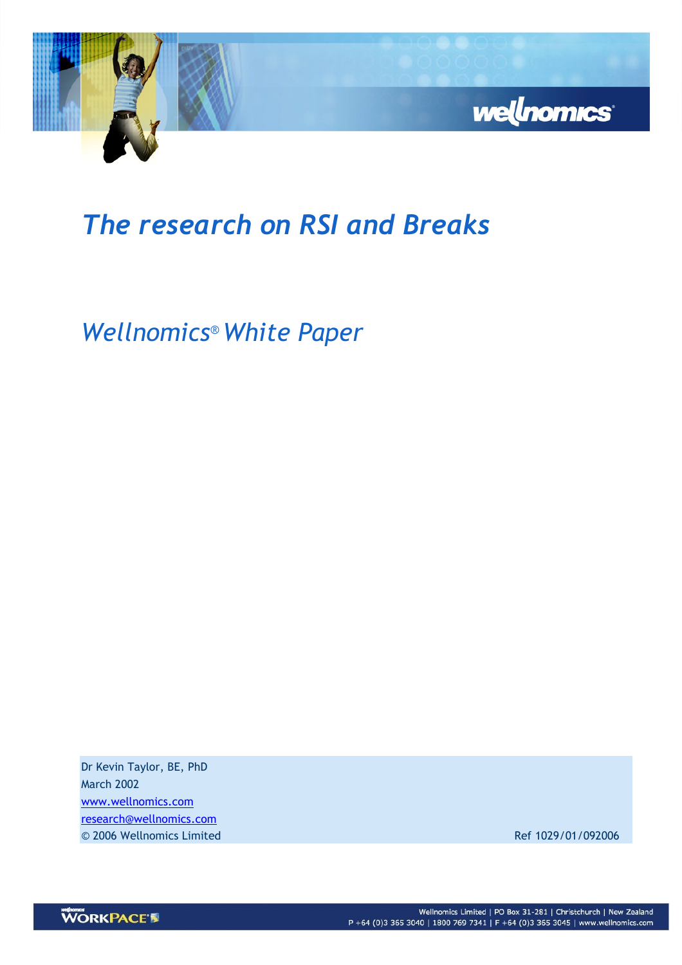

# The research on RSI and Breaks

Wellnomics® White Paper

Dr Kevin Taylor, BE, PhD March 2002 www.wellnomics.com research@wellnomics.com © 2006 Wellnomics Limited Ref 1029/01/092006

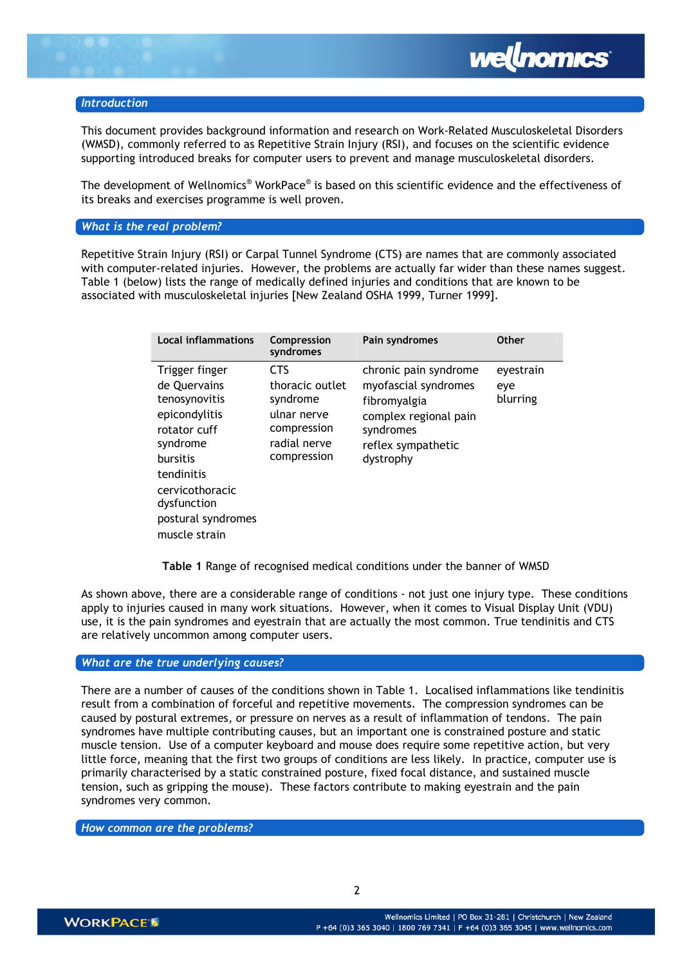

# **Introduction**

This document provides background information and research on Work-Related Musculoskeletal Disorders (WMSD), commonly referred to as Repetitive Strain Injury (RSI), and focuses on the scientific evidence supporting introduced breaks for computer users to prevent and manage musculoskeletal disorders.

The development of Wellnomics® WorkPace® is based on this scientific evidence and the effectiveness of its breaks and exercises programme is well proven.

## What is the real problem?

Repetitive Strain Injury (RSI) or Carpal Tunnel Syndrome (CTS) are names that are commonly associated with computer-related injuries. However, the problems are actually far wider than these names suggest. Table 1 (below) lists the range of medically defined injuries and conditions that are known to be associated with musculoskeletal injuries [New Zealand OSHA 1999, Turner 1999].

| <b>Local inflammations</b>                                                                                                                                                                             | Compression<br>syndromes                                                                               | Pain syndromes                                                                                                                         | <b>Other</b>                 |
|--------------------------------------------------------------------------------------------------------------------------------------------------------------------------------------------------------|--------------------------------------------------------------------------------------------------------|----------------------------------------------------------------------------------------------------------------------------------------|------------------------------|
| Trigger finger<br>de Quervains<br>tenosynovitis<br>epicondylitis<br>rotator cuff<br>syndrome<br><b>bursitis</b><br>tendinitis<br>cervicothoracic<br>dysfunction<br>postural syndromes<br>muscle strain | <b>CTS</b><br>thoracic outlet<br>syndrome<br>ulnar nerve<br>compression<br>radial nerve<br>compression | chronic pain syndrome<br>myofascial syndromes<br>fibromyalgia<br>complex regional pain<br>syndromes<br>reflex sympathetic<br>dystrophy | eyestrain<br>eye<br>blurring |

Table 1 Range of recognised medical conditions under the banner of WMSD

As shown above, there are a considerable range of conditions - not just one injury type. These conditions apply to injuries caused in many work situations. However, when it comes to Visual Display Unit (VDU) use, it is the pain syndromes and eyestrain that are actually the most common. True tendinitis and CTS are relatively uncommon among computer users.

# What are the true underlying causes?

There are a number of causes of the conditions shown in Table 1. Localised inflammations like tendinitis result from a combination of forceful and repetitive movements. The compression syndromes can be caused by postural extremes, or pressure on nerves as a result of inflammation of tendons. The pain syndromes have multiple contributing causes, but an important one is constrained posture and static muscle tension. Use of a computer keyboard and mouse does require some repetitive action, but very little force, meaning that the first two groups of conditions are less likely. In practice, computer use is primarily characterised by a static constrained posture, fixed focal distance, and sustained muscle tension, such as gripping the mouse). These factors contribute to making eyestrain and the pain syndromes very common.

How common are the problems?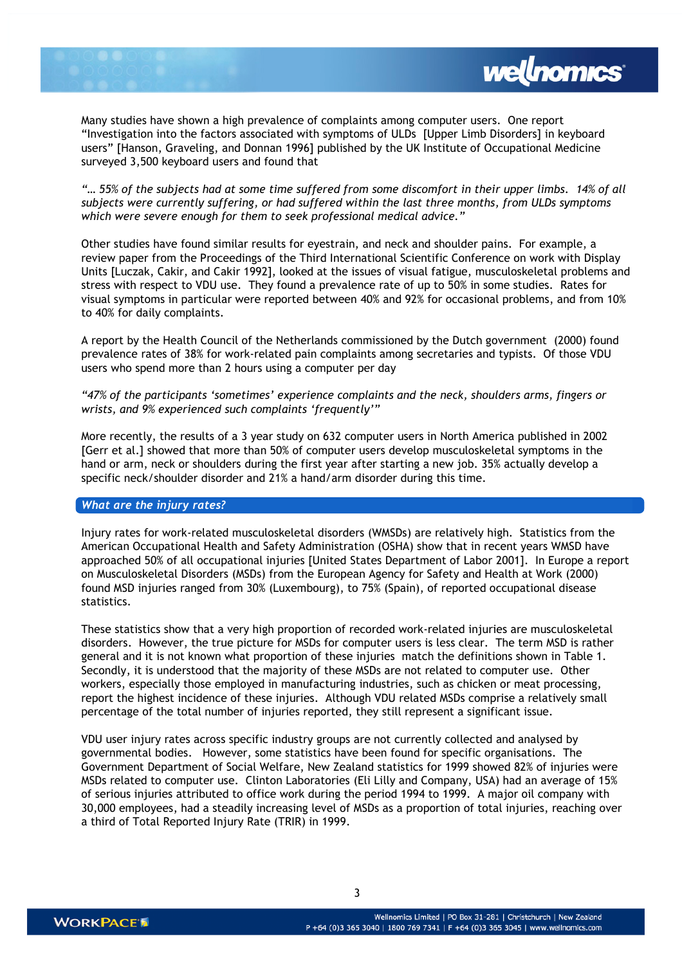

Many studies have shown a high prevalence of complaints among computer users. One report "Investigation into the factors associated with symptoms of ULDs [Upper Limb Disorders] in keyboard users" [Hanson, Graveling, and Donnan 1996] published by the UK Institute of Occupational Medicine surveyed 3,500 keyboard users and found that

"… 55% of the subjects had at some time suffered from some discomfort in their upper limbs. 14% of all subjects were currently suffering, or had suffered within the last three months, from ULDs symptoms which were severe enough for them to seek professional medical advice."

Other studies have found similar results for eyestrain, and neck and shoulder pains. For example, a review paper from the Proceedings of the Third International Scientific Conference on work with Display Units [Luczak, Cakir, and Cakir 1992], looked at the issues of visual fatigue, musculoskeletal problems and stress with respect to VDU use. They found a prevalence rate of up to 50% in some studies. Rates for visual symptoms in particular were reported between 40% and 92% for occasional problems, and from 10% to 40% for daily complaints.

A report by the Health Council of the Netherlands commissioned by the Dutch government (2000) found prevalence rates of 38% for work-related pain complaints among secretaries and typists. Of those VDU users who spend more than 2 hours using a computer per day

"47% of the participants 'sometimes' experience complaints and the neck, shoulders arms, fingers or wrists, and 9% experienced such complaints 'frequently'"

More recently, the results of a 3 year study on 632 computer users in North America published in 2002 [Gerr et al.] showed that more than 50% of computer users develop musculoskeletal symptoms in the hand or arm, neck or shoulders during the first year after starting a new job. 35% actually develop a specific neck/shoulder disorder and 21% a hand/arm disorder during this time.

#### What are the injury rates?

Injury rates for work-related musculoskeletal disorders (WMSDs) are relatively high. Statistics from the American Occupational Health and Safety Administration (OSHA) show that in recent years WMSD have approached 50% of all occupational injuries [United States Department of Labor 2001]. In Europe a report on Musculoskeletal Disorders (MSDs) from the European Agency for Safety and Health at Work (2000) found MSD injuries ranged from 30% (Luxembourg), to 75% (Spain), of reported occupational disease statistics.

These statistics show that a very high proportion of recorded work-related injuries are musculoskeletal disorders. However, the true picture for MSDs for computer users is less clear. The term MSD is rather general and it is not known what proportion of these injuries match the definitions shown in Table 1. Secondly, it is understood that the majority of these MSDs are not related to computer use. Other workers, especially those employed in manufacturing industries, such as chicken or meat processing, report the highest incidence of these injuries. Although VDU related MSDs comprise a relatively small percentage of the total number of injuries reported, they still represent a significant issue.

VDU user injury rates across specific industry groups are not currently collected and analysed by governmental bodies. However, some statistics have been found for specific organisations. The Government Department of Social Welfare, New Zealand statistics for 1999 showed 82% of injuries were MSDs related to computer use. Clinton Laboratories (Eli Lilly and Company, USA) had an average of 15% of serious injuries attributed to office work during the period 1994 to 1999. A major oil company with 30,000 employees, had a steadily increasing level of MSDs as a proportion of total injuries, reaching over a third of Total Reported Injury Rate (TRIR) in 1999.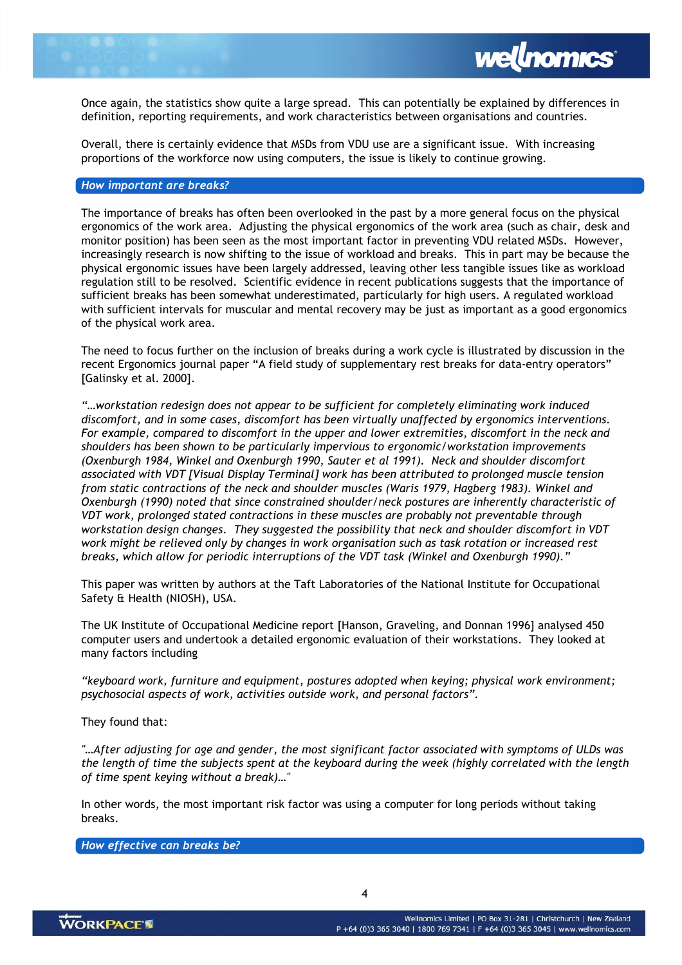Once again, the statistics show quite a large spread. This can potentially be explained by differences in definition, reporting requirements, and work characteristics between organisations and countries.

Overall, there is certainly evidence that MSDs from VDU use are a significant issue. With increasing proportions of the workforce now using computers, the issue is likely to continue growing.

## How important are breaks?

The importance of breaks has often been overlooked in the past by a more general focus on the physical ergonomics of the work area. Adjusting the physical ergonomics of the work area (such as chair, desk and monitor position) has been seen as the most important factor in preventing VDU related MSDs. However, increasingly research is now shifting to the issue of workload and breaks. This in part may be because the physical ergonomic issues have been largely addressed, leaving other less tangible issues like as workload regulation still to be resolved. Scientific evidence in recent publications suggests that the importance of sufficient breaks has been somewhat underestimated, particularly for high users. A regulated workload with sufficient intervals for muscular and mental recovery may be just as important as a good ergonomics of the physical work area.

The need to focus further on the inclusion of breaks during a work cycle is illustrated by discussion in the recent Ergonomics journal paper "A field study of supplementary rest breaks for data-entry operators" [Galinsky et al. 2000].

"…workstation redesign does not appear to be sufficient for completely eliminating work induced discomfort, and in some cases, discomfort has been virtually unaffected by ergonomics interventions. For example, compared to discomfort in the upper and lower extremities, discomfort in the neck and shoulders has been shown to be particularly impervious to ergonomic/workstation improvements (Oxenburgh 1984, Winkel and Oxenburgh 1990, Sauter et al 1991). Neck and shoulder discomfort associated with VDT [Visual Display Terminal] work has been attributed to prolonged muscle tension from static contractions of the neck and shoulder muscles (Waris 1979, Hagberg 1983). Winkel and Oxenburgh (1990) noted that since constrained shoulder/neck postures are inherently characteristic of VDT work, prolonged stated contractions in these muscles are probably not preventable through workstation design changes. They suggested the possibility that neck and shoulder discomfort in VDT work might be relieved only by changes in work organisation such as task rotation or increased rest breaks, which allow for periodic interruptions of the VDT task (Winkel and Oxenburgh 1990)."

This paper was written by authors at the Taft Laboratories of the National Institute for Occupational Safety & Health (NIOSH), USA.

The UK Institute of Occupational Medicine report [Hanson, Graveling, and Donnan 1996] analysed 450 computer users and undertook a detailed ergonomic evaluation of their workstations. They looked at many factors including

"keyboard work, furniture and equipment, postures adopted when keying; physical work environment; psychosocial aspects of work, activities outside work, and personal factors".

They found that:

"…After adjusting for age and gender, the most significant factor associated with symptoms of ULDs was the length of time the subjects spent at the keyboard during the week (highly correlated with the length of time spent keying without a break)…"

In other words, the most important risk factor was using a computer for long periods without taking breaks.

How effective can breaks be?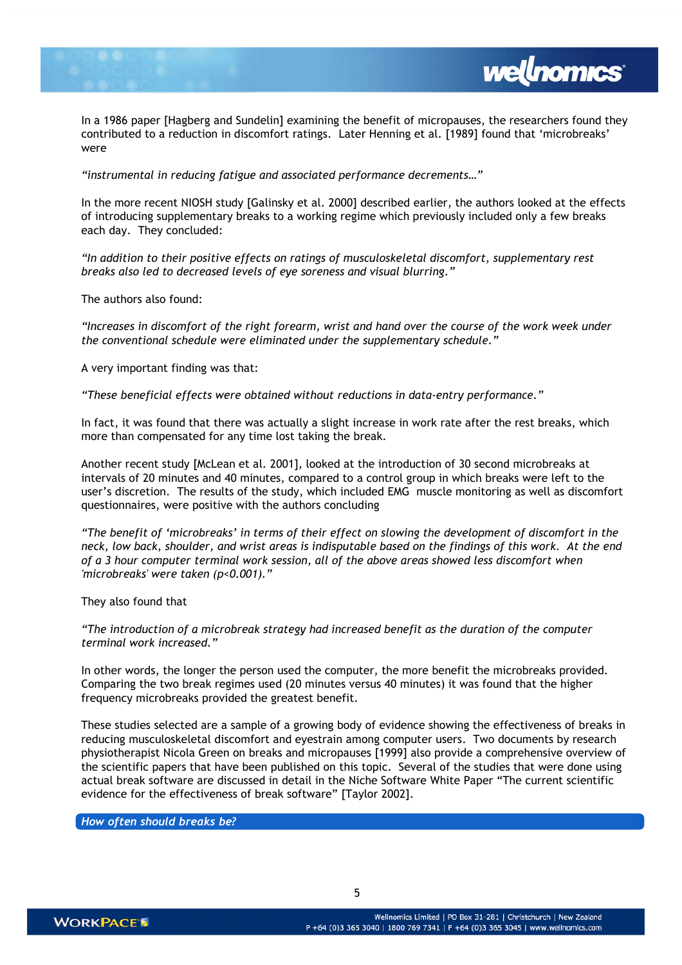

In a 1986 paper [Hagberg and Sundelin] examining the benefit of micropauses, the researchers found they contributed to a reduction in discomfort ratings. Later Henning et al. [1989] found that 'microbreaks' were

"instrumental in reducing fatigue and associated performance decrements…"

In the more recent NIOSH study [Galinsky et al. 2000] described earlier, the authors looked at the effects of introducing supplementary breaks to a working regime which previously included only a few breaks each day. They concluded:

"In addition to their positive effects on ratings of musculoskeletal discomfort, supplementary rest breaks also led to decreased levels of eye soreness and visual blurring."

The authors also found:

"Increases in discomfort of the right forearm, wrist and hand over the course of the work week under the conventional schedule were eliminated under the supplementary schedule."

A very important finding was that:

"These beneficial effects were obtained without reductions in data-entry performance."

In fact, it was found that there was actually a slight increase in work rate after the rest breaks, which more than compensated for any time lost taking the break.

Another recent study [McLean et al. 2001], looked at the introduction of 30 second microbreaks at intervals of 20 minutes and 40 minutes, compared to a control group in which breaks were left to the user's discretion. The results of the study, which included EMG muscle monitoring as well as discomfort questionnaires, were positive with the authors concluding

"The benefit of 'microbreaks' in terms of their effect on slowing the development of discomfort in the neck, low back, shoulder, and wrist areas is indisputable based on the findings of this work. At the end of a 3 hour computer terminal work session, all of the above areas showed less discomfort when 'microbreaks' were taken (p<0.001)."

They also found that

"The introduction of a microbreak strategy had increased benefit as the duration of the computer terminal work increased."

In other words, the longer the person used the computer, the more benefit the microbreaks provided. Comparing the two break regimes used (20 minutes versus 40 minutes) it was found that the higher frequency microbreaks provided the greatest benefit.

These studies selected are a sample of a growing body of evidence showing the effectiveness of breaks in reducing musculoskeletal discomfort and eyestrain among computer users. Two documents by research physiotherapist Nicola Green on breaks and micropauses [1999] also provide a comprehensive overview of the scientific papers that have been published on this topic. Several of the studies that were done using actual break software are discussed in detail in the Niche Software White Paper "The current scientific evidence for the effectiveness of break software" [Taylor 2002].

How often should breaks be?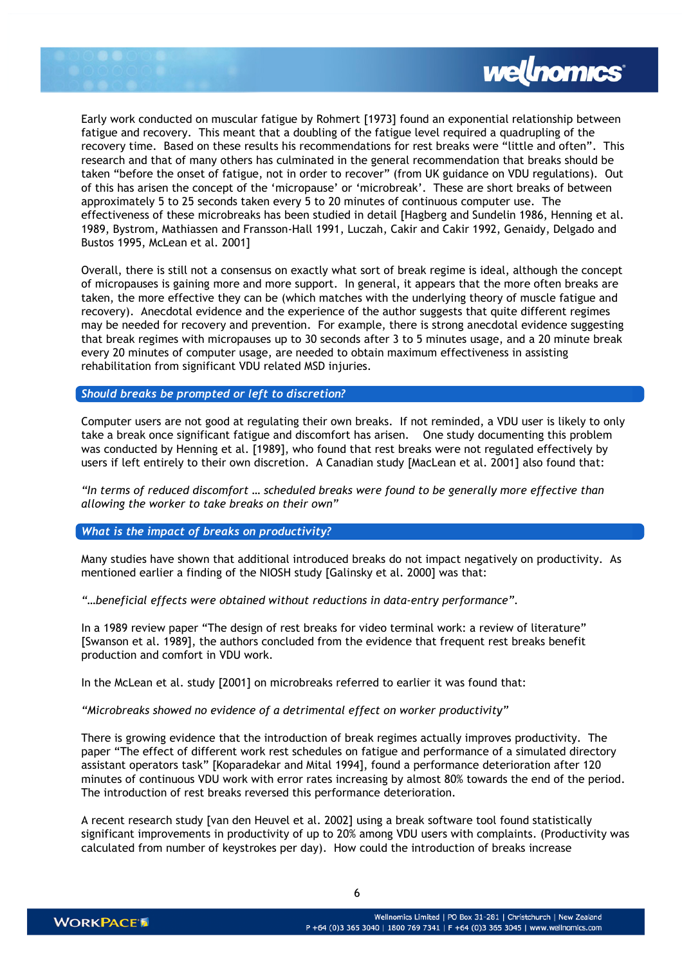

Early work conducted on muscular fatigue by Rohmert [1973] found an exponential relationship between fatigue and recovery. This meant that a doubling of the fatigue level required a quadrupling of the recovery time. Based on these results his recommendations for rest breaks were "little and often". This research and that of many others has culminated in the general recommendation that breaks should be taken "before the onset of fatigue, not in order to recover" (from UK guidance on VDU regulations). Out of this has arisen the concept of the 'micropause' or 'microbreak'. These are short breaks of between approximately 5 to 25 seconds taken every 5 to 20 minutes of continuous computer use. The effectiveness of these microbreaks has been studied in detail [Hagberg and Sundelin 1986, Henning et al. 1989, Bystrom, Mathiassen and Fransson-Hall 1991, Luczah, Cakir and Cakir 1992, Genaidy, Delgado and Bustos 1995, McLean et al. 2001]

Overall, there is still not a consensus on exactly what sort of break regime is ideal, although the concept of micropauses is gaining more and more support. In general, it appears that the more often breaks are taken, the more effective they can be (which matches with the underlying theory of muscle fatigue and recovery). Anecdotal evidence and the experience of the author suggests that quite different regimes may be needed for recovery and prevention. For example, there is strong anecdotal evidence suggesting that break regimes with micropauses up to 30 seconds after 3 to 5 minutes usage, and a 20 minute break every 20 minutes of computer usage, are needed to obtain maximum effectiveness in assisting rehabilitation from significant VDU related MSD injuries.

Should breaks be prompted or left to discretion?

Computer users are not good at regulating their own breaks. If not reminded, a VDU user is likely to only take a break once significant fatigue and discomfort has arisen. One study documenting this problem was conducted by Henning et al. [1989], who found that rest breaks were not regulated effectively by users if left entirely to their own discretion. A Canadian study [MacLean et al. 2001] also found that:

"In terms of reduced discomfort … scheduled breaks were found to be generally more effective than allowing the worker to take breaks on their own"

What is the impact of breaks on productivity?

Many studies have shown that additional introduced breaks do not impact negatively on productivity. As mentioned earlier a finding of the NIOSH study [Galinsky et al. 2000] was that:

"…beneficial effects were obtained without reductions in data-entry performance".

In a 1989 review paper "The design of rest breaks for video terminal work: a review of literature" [Swanson et al. 1989], the authors concluded from the evidence that frequent rest breaks benefit production and comfort in VDU work.

In the McLean et al. study [2001] on microbreaks referred to earlier it was found that:

"Microbreaks showed no evidence of a detrimental effect on worker productivity"

There is growing evidence that the introduction of break regimes actually improves productivity. The paper "The effect of different work rest schedules on fatigue and performance of a simulated directory assistant operators task" [Koparadekar and Mital 1994], found a performance deterioration after 120 minutes of continuous VDU work with error rates increasing by almost 80% towards the end of the period. The introduction of rest breaks reversed this performance deterioration.

A recent research study [van den Heuvel et al. 2002] using a break software tool found statistically significant improvements in productivity of up to 20% among VDU users with complaints. (Productivity was calculated from number of keystrokes per day). How could the introduction of breaks increase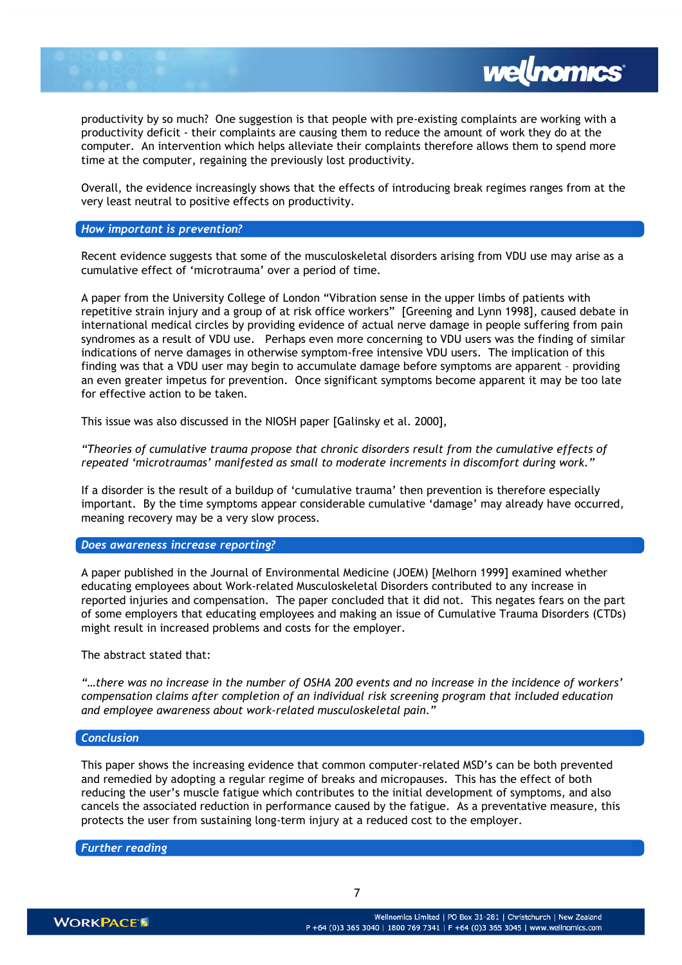productivity by so much? One suggestion is that people with pre-existing complaints are working with a productivity deficit - their complaints are causing them to reduce the amount of work they do at the computer. An intervention which helps alleviate their complaints therefore allows them to spend more time at the computer, regaining the previously lost productivity.

*wellnomics* 

Overall, the evidence increasingly shows that the effects of introducing break regimes ranges from at the very least neutral to positive effects on productivity.

## How important is prevention?

Recent evidence suggests that some of the musculoskeletal disorders arising from VDU use may arise as a cumulative effect of 'microtrauma' over a period of time.

A paper from the University College of London "Vibration sense in the upper limbs of patients with repetitive strain injury and a group of at risk office workers" [Greening and Lynn 1998], caused debate in international medical circles by providing evidence of actual nerve damage in people suffering from pain syndromes as a result of VDU use. Perhaps even more concerning to VDU users was the finding of similar indications of nerve damages in otherwise symptom-free intensive VDU users. The implication of this finding was that a VDU user may begin to accumulate damage before symptoms are apparent – providing an even greater impetus for prevention. Once significant symptoms become apparent it may be too late for effective action to be taken.

This issue was also discussed in the NIOSH paper [Galinsky et al. 2000],

"Theories of cumulative trauma propose that chronic disorders result from the cumulative effects of repeated 'microtraumas' manifested as small to moderate increments in discomfort during work."

If a disorder is the result of a buildup of 'cumulative trauma' then prevention is therefore especially important. By the time symptoms appear considerable cumulative 'damage' may already have occurred, meaning recovery may be a very slow process.

# Does awareness increase reporting?

A paper published in the Journal of Environmental Medicine (JOEM) [Melhorn 1999] examined whether educating employees about Work-related Musculoskeletal Disorders contributed to any increase in reported injuries and compensation. The paper concluded that it did not. This negates fears on the part of some employers that educating employees and making an issue of Cumulative Trauma Disorders (CTDs) might result in increased problems and costs for the employer.

The abstract stated that:

"…there was no increase in the number of OSHA 200 events and no increase in the incidence of workers' compensation claims after completion of an individual risk screening program that included education and employee awareness about work-related musculoskeletal pain."

#### Conclusion

This paper shows the increasing evidence that common computer-related MSD's can be both prevented and remedied by adopting a regular regime of breaks and micropauses. This has the effect of both reducing the user's muscle fatigue which contributes to the initial development of symptoms, and also cancels the associated reduction in performance caused by the fatigue. As a preventative measure, this protects the user from sustaining long-term injury at a reduced cost to the employer.

Further reading

7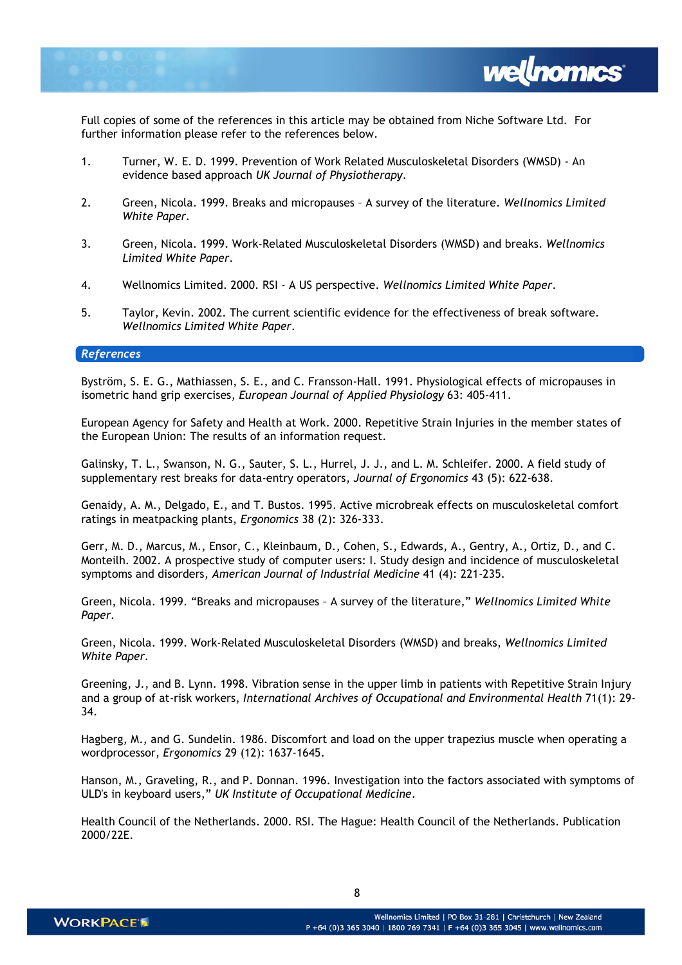

Full copies of some of the references in this article may be obtained from Niche Software Ltd. For further information please refer to the references below.

- 1. Turner, W. E. D. 1999. Prevention of Work Related Musculoskeletal Disorders (WMSD) An evidence based approach UK Journal of Physiotherapy.
- 2. Green, Nicola. 1999. Breaks and micropauses A survey of the literature. Wellnomics Limited White Paper.
- 3. Green, Nicola. 1999. Work-Related Musculoskeletal Disorders (WMSD) and breaks. Wellnomics Limited White Paper.
- 4. Wellnomics Limited. 2000. RSI A US perspective. Wellnomics Limited White Paper.
- 5. Taylor, Kevin. 2002. The current scientific evidence for the effectiveness of break software. Wellnomics Limited White Paper.

#### References

Byström, S. E. G., Mathiassen, S. E., and C. Fransson-Hall. 1991. Physiological effects of micropauses in isometric hand grip exercises, European Journal of Applied Physiology 63: 405-411.

European Agency for Safety and Health at Work. 2000. Repetitive Strain Injuries in the member states of the European Union: The results of an information request.

Galinsky, T. L., Swanson, N. G., Sauter, S. L., Hurrel, J. J., and L. M. Schleifer. 2000. A field study of supplementary rest breaks for data-entry operators, Journal of Ergonomics 43 (5): 622-638.

Genaidy, A. M., Delgado, E., and T. Bustos. 1995. Active microbreak effects on musculoskeletal comfort ratings in meatpacking plants, Ergonomics 38 (2): 326-333.

Gerr, M. D., Marcus, M., Ensor, C., Kleinbaum, D., Cohen, S., Edwards, A., Gentry, A., Ortiz, D., and C. Monteilh. 2002. A prospective study of computer users: I. Study design and incidence of musculoskeletal symptoms and disorders, American Journal of Industrial Medicine 41 (4): 221-235.

Green, Nicola. 1999. "Breaks and micropauses – A survey of the literature," Wellnomics Limited White Paper.

Green, Nicola. 1999. Work-Related Musculoskeletal Disorders (WMSD) and breaks, Wellnomics Limited White Paper.

Greening, J., and B. Lynn. 1998. Vibration sense in the upper limb in patients with Repetitive Strain Injury and a group of at-risk workers, International Archives of Occupational and Environmental Health 71(1): 29- 34.

Hagberg, M., and G. Sundelin. 1986. Discomfort and load on the upper trapezius muscle when operating a wordprocessor, Ergonomics 29 (12): 1637-1645.

Hanson, M., Graveling, R., and P. Donnan. 1996. Investigation into the factors associated with symptoms of ULD's in keyboard users," UK Institute of Occupational Medicine.

Health Council of the Netherlands. 2000. RSI. The Hague: Health Council of the Netherlands. Publication 2000/22E.